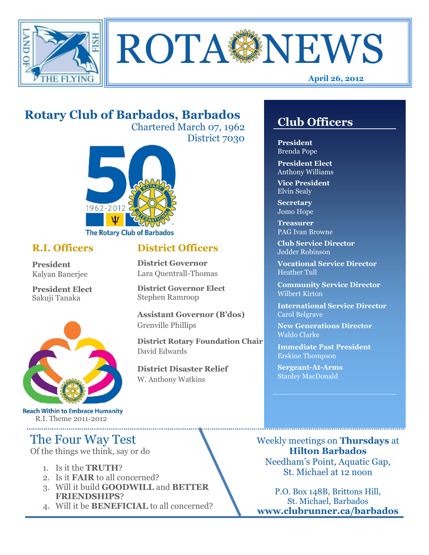



## **Rotary Club of Barbados, Barbados**

Chartered March 07, 1962 District 7030

**District Officers**

**District Governor Elect**

**District Disaster Relief**

W. Anthony Watkins

**Assistant Governor (B'dos)**

**District Rotary Foundation Chair**

**District Governor** Lara Quentrall-Thomas

Stephen Ramroop

Grenville Phillips

David Edwards



#### **R.I. Officers**

**President**  Kalyan Banerjee

**President Elect** Sakuji Tanaka



**Reach Within to Embrace Humanity** R.I. Theme 2011-2012

## The Four Way Test

Of the things we think, say or do

- 1. Is it the **TRUTH**?
- 2. Is it **FAIR** to all concerned?
- 3. Will it build **GOODWILL** and **BETTER FRIENDSHIPS**?
- 4. Will it be **BENEFICIAL** to all concerned?

## **Club Officers**

**Club Officers**

**President** Brenda Pope

**President Elect** Anthony Williams

**Vice President** Elvin Sealy

**Secretary** Jomo Hope

**Treasurer** PAG Ivan Browne

**Club Service Director** Jedder Robinson

**Vocational Service Director** Heather Tull

**Community Service Director** Wilbert Kirton

**International Service Director** Carol Belgrave

**New Generations Director** Waldo Clarke

**Immediate Past President** Erskine Thompson

**Sergeant-At-Arms** Stanley MacDonald

Weekly meetings on **Thursdays** at **Hilton Barbados** Needham's Point, Aquatic Gap, St. Michael at 12 noon

P.O. Box 148B, Brittons Hill, St. Michael, Barbados **www.clubrunner.ca/barbados**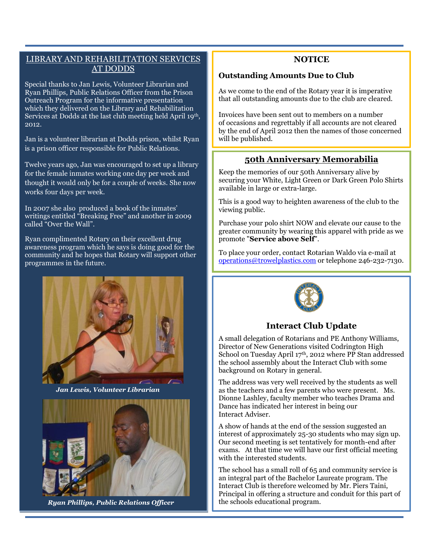#### LIBRARY AND REHABILITATION SERVICES AT DODDS

Special thanks to Jan Lewis, Volunteer Librarian and Ryan Phillips, Public Relations Officer from the Prison Outreach Program for the informative presentation which they delivered on the Library and Rehabilitation Services at Dodds at the last club meeting held April 19th, 2012.

Jan is a volunteer librarian at Dodds prison, whilst Ryan is a prison officer responsible for Public Relations.

Twelve years ago, Jan was encouraged to set up a library for the female inmates working one day per week and thought it would only be for a couple of weeks. She now works four days per week.

In 2007 she also produced a book of the inmates' writings entitled "Breaking Free" and another in 2009 called "Over the Wall".

Ryan complimented Rotary on their excellent drug awareness program which he says is doing good for the community and he hopes that Rotary will support other programmes in the future.



*Jan Lewis, Volunteer Librarian*



*Ryan Phillips, Public Relations Officer*

#### **NOTICE**

#### **Outstanding Amounts Due to Club**

As we come to the end of the Rotary year it is imperative that all outstanding amounts due to the club are cleared.

Invoices have been sent out to members on a number of occasions and regrettably if all accounts are not cleared by the end of April 2012 then the names of those concerned will be published.

#### **50th Anniversary Memorabilia**

Keep the memories of our 50th Anniversary alive by securing your White, Light Green or Dark Green Polo Shirts available in large or extra-large.

This is a good way to heighten awareness of the club to the viewing public.

Purchase your polo shirt NOW and elevate our cause to the greater community by wearing this apparel with pride as we promote "**Service above Self**".

To place your order, contact Rotarian Waldo via e-mail at [operations@trowelplastics.com](mailto:operations@trowelplastics.com) or telephone 246-232-7130.



#### **Interact Club Update**

A small delegation of Rotarians and PE Anthony Williams, Director of New Generations visited Codrington High School on Tuesday April 17th, 2012 where PP Stan addressed the school assembly about the Interact Club with some background on Rotary in general.

The address was very well received by the students as well as the teachers and a few parents who were present. Ms. Dionne Lashley, faculty member who teaches Drama and Dance has indicated her interest in being our Interact Adviser.

A show of hands at the end of the session suggested an interest of approximately 25-30 students who may sign up. Our second meeting is set tentatively for month-end after exams. At that time we will have our first official meeting with the interested students.

The school has a small roll of 65 and community service is an integral part of the Bachelor Laureate program. The Interact Club is therefore welcomed by Mr. Piers Taini, Principal in offering a structure and conduit for this part of the schools educational program.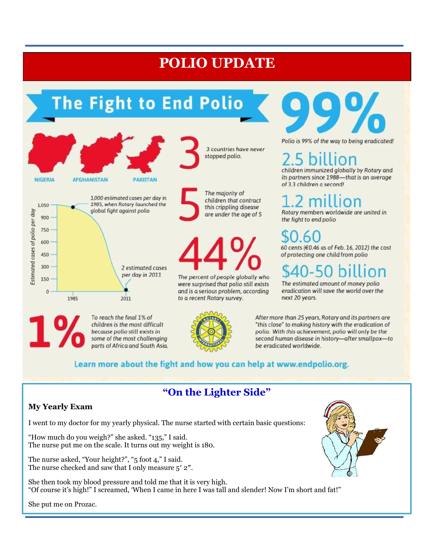## **POLIO UPDATE**

# The Fight to End Polio

2 estimated cases per day in 2011

2011

To reach the final 1% of

children is the most difficult

because polio still exists in

some of the most challenging

parts of Africa and South Asia.



3 countries have never stopped polio.

The majority of children that contract this crippling disease are under the age of 5

The percent of people globally who were surprised that polio still exists and is a serious problem, according to a recent Rotary survey.



Polio is 99% of the way to being eradicated!

on

children immunized globally by Rotary and its partners since 1988-that is an average of 3.3 children a second!

ion Rotary members worldwide are united in the fight to end polio

60 cents (€0.46 as of Feb. 16, 2012) the cost of protecting one child from polio

The estimated amount of money polio eradication will save the world over the next 20 years.

After more than 25 years, Rotary and its partners are "this close" to making history with the eradication of polio. With this achievement, polio will only be the second human disease in history-after smallpox-to be eradicated worldwide.

### Learn more about the fight and how you can help at www.endpolio.org.

## **"On the Lighter Side"**

#### **My Yearly Exam**

750 600

450

300

150

 $\theta$ 

1985

I went to my doctor for my yearly physical. The nurse started with certain basic questions:

"How much do you weigh?" she asked. "135," I said. The nurse put me on the scale. It turns out my weight is 180.

The nurse asked, "Your height?", "5 foot 4," I said. The nurse checked and saw that I only measure 5′ 2″.

She then took my blood pressure and told me that it is very high. "Of course it's high!" I screamed, 'When I came in here I was tall and slender! Now I'm short and fat!"



She put me on Prozac.